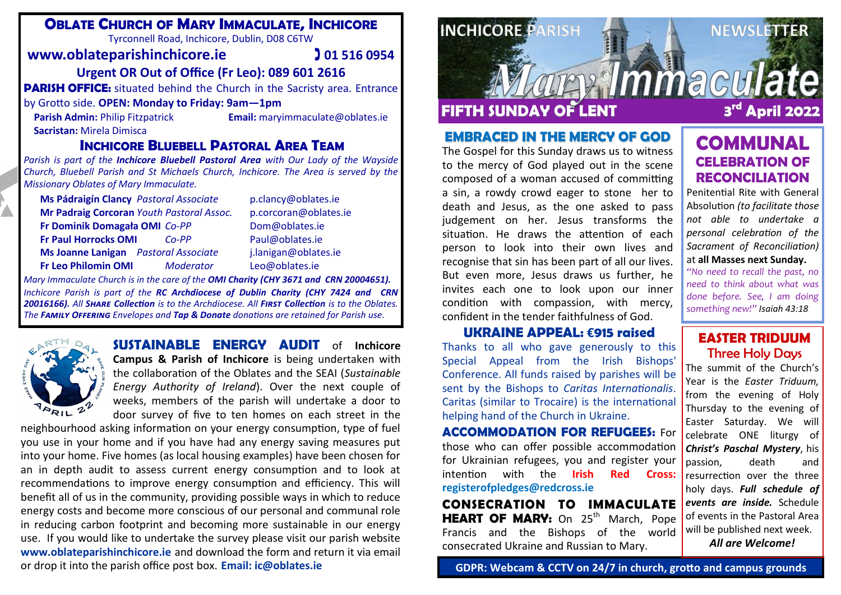## **OBLATE CHURCH OF MARY IMMACULATE, INCHICORE**

Tyrconnell Road, Inchicore, Dublin, D08 C6TW

#### **www.oblateparishinchicore.ie 101 516 0954**

#### **Urgent OR Out of Office (Fr Leo): 089 601 2616**

**PARISH OFFICE:** situated behind the Church in the Sacristy area. Entrance

#### by Grotto side. **OPEN: Monday to Friday: 9am—1pm**

**Sacristan:** Mirela Dimisca

**Parish Admin:** Philip Fitzpatrick **Email:** maryimmaculate@oblates.ie

#### **INCHICORE BLUEBELL PASTORAL AREA TEAM**

*Parish is part of the Inchicore Bluebell Pastoral Area with Our Lady of the Wayside Church, Bluebell Parish and St Michaels Church, Inchicore. The Area is served by the Missionary Oblates of Mary Immaculate.* 

| Ms Pádraigín Clancy Pastoral Associate      |           | p.clancy@oblates.ie   |
|---------------------------------------------|-----------|-----------------------|
| Mr Padraig Corcoran Youth Pastoral Assoc.   |           | p.corcoran@oblates.ie |
| Fr Dominik Domagała OMI Co-PP               |           | Dom@oblates.ie        |
| <b>Fr Paul Horrocks OMI</b>                 | $Co-PP$   | Paul@oblates.ie       |
| <b>Ms Joanne Lanigan</b> Pastoral Associate |           | j.lanigan@oblates.ie  |
| <b>Fr Leo Philomin OMI</b>                  | Moderator | Leo@oblates.ie        |

*Mary Immaculate Church is in the care of the OMI Charity (CHY 3671 and CRN 20004651). Inchicore Parish is part of the RC Archdiocese of Dublin Charity (CHY 7424 and CRN 20016166). All Share Collection is to the Archdiocese. All First Collection is to the Oblates. The Family Offering Envelopes and Tap & Donate donations are retained for Parish use.*



**SUSTAINABLE ENERGY AUDIT** of **Inchicore Campus & Parish of Inchicore** is being undertaken with the collaboration of the Oblates and the SEAI (*Sustainable Energy Authority of Ireland*). Over the next couple of weeks, members of the parish will undertake a door to door survey of five to ten homes on each street in the

neighbourhood asking information on your energy consumption, type of fuel you use in your home and if you have had any energy saving measures put into your home. Five homes (as local housing examples) have been chosen for an in depth audit to assess current energy consumption and to look at recommendations to improve energy consumption and efficiency. This will benefit all of us in the community, providing possible ways in which to reduce energy costs and become more conscious of our personal and communal role in reducing carbon footprint and becoming more sustainable in our energy use. If you would like to undertake the survey please visit our parish website **www.oblateparishinchicore.ie** and download the form and return it via email or drop it into the parish office post box. **Email: ic@oblates.ie**



#### **EMBRACED IN THE MERCY OF GOD**

The Gospel for this Sunday draws us to witness to the mercy of God played out in the scene composed of a woman accused of committing a sin, a rowdy crowd eager to stone her to death and Jesus, as the one asked to pass judgement on her. Jesus transforms the situation. He draws the attention of each person to look into their own lives and recognise that sin has been part of all our lives. But even more, Jesus draws us further, he invites each one to look upon our inner condition with compassion, with mercy, confident in the tender faithfulness of God.

**UKRAINE APPEAL: €915 raised** Thanks to all who gave generously to this Special Appeal from the Irish Bishops' Conference. All funds raised by parishes will be sent by the Bishops to *Caritas Internationalis*. Caritas (similar to Trocaire) is the international helping hand of the Church in Ukraine.

**ACCOMMODATION FOR REFUGEES:** For those who can offer possible accommodation for Ukrainian refugees, you and register your intention with the **Irish Red Cross: [registerofpledges@redcross.ie](mailto:registerofpledges@redcross.ie)**

**CONSECRATION TO IMMACULATE**  HEART OF MARY: On 25<sup>th</sup> March, Pope Francis and the Bishops of the world consecrated Ukraine and Russian to Mary.

# **COMMUNAL CELEBRATION OF RECONCILIATION**

Penitential Rite with General Absolution *(to facilitate those not able to undertake a personal celebration of the Sacrament of Reconciliation)* at **all Masses next Sunday.**

*"No need to recall the past, no need to think about what was done before. See, I am doing something new!" Isaiah 43:18*

#### **EASTER TRIDUUM** Three Holy Days

The summit of the Church's Year is the *Easter Triduum,*  from the evening of Holy Thursday to the evening of Easter Saturday. We will celebrate ONE liturgy of *Christ's Paschal Mystery*, his passion, death and resurrection over the three holy days. *Full schedule of events are inside.* Schedule of events in the Pastoral Area will be published next week. *All are Welcome!*

**GDPR: Webcam & CCTV on 24/7 in church, grotto and campus grounds**